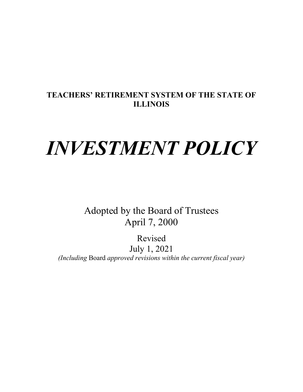## **TEACHERS' RETIREMENT SYSTEM OF THE STATE OF ILLINOIS**

# *INVESTMENT POLICY*

Adopted by the Board of Trustees April 7, 2000

Revised July 1, 2021 *(Including* Board *approved revisions within the current fiscal year)*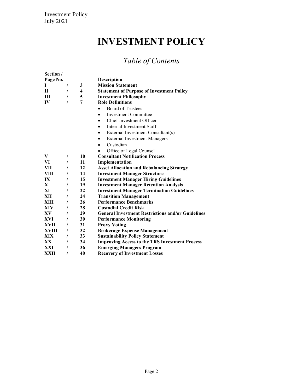# **INVESTMENT POLICY**

## *Table of Contents*

| Section /    |   |    |                                                          |  |  |
|--------------|---|----|----------------------------------------------------------|--|--|
| Page No.     |   |    | <b>Description</b>                                       |  |  |
| L            |   | 3  | <b>Mission Statement</b>                                 |  |  |
| П            |   | 4  | <b>Statement of Purpose of Investment Policy</b>         |  |  |
| Ш            |   | 5  | <b>Investment Philosophy</b>                             |  |  |
| IV           |   | 7  | <b>Role Definitions</b>                                  |  |  |
|              |   |    | <b>Board of Trustees</b><br>$\bullet$                    |  |  |
|              |   |    | <b>Investment Committee</b><br>$\bullet$                 |  |  |
|              |   |    | Chief Investment Officer<br>٠                            |  |  |
|              |   |    | Internal Investment Staff                                |  |  |
|              |   |    | External Investment Consultant(s)<br>$\bullet$           |  |  |
|              |   |    | <b>External Investment Managers</b><br>٠                 |  |  |
|              |   |    | Custodian<br>$\bullet$                                   |  |  |
|              |   |    | Office of Legal Counsel                                  |  |  |
| V            | T | 10 | <b>Consultant Notification Process</b>                   |  |  |
| VI           |   | 11 | Implementation                                           |  |  |
| VII          |   | 12 | <b>Asset Allocation and Rebalancing Strategy</b>         |  |  |
| VIII         |   | 14 | <b>Investment Manager Structure</b>                      |  |  |
| IX           |   | 15 | <b>Investment Manager Hiring Guidelines</b>              |  |  |
| $\mathbf{X}$ |   | 19 | <b>Investment Manager Retention Analysis</b>             |  |  |
| XI           |   | 22 | <b>Investment Manager Termination Guidelines</b>         |  |  |
| XII          |   | 24 | <b>Transition Management</b>                             |  |  |
| XIII         |   | 26 | <b>Performance Benchmarks</b>                            |  |  |
| XIV          |   | 28 | <b>Custodial Credit Risk</b>                             |  |  |
| XV           |   | 29 | <b>General Investment Restrictions and/or Guidelines</b> |  |  |
| XVI          |   | 30 | <b>Performance Monitoring</b>                            |  |  |
| XVII         |   | 31 | <b>Proxy Voting</b>                                      |  |  |
| XVIII        |   | 32 | <b>Brokerage Expense Management</b>                      |  |  |
| XIX          |   | 33 | <b>Sustainability Policy Statement</b>                   |  |  |
| XX.          |   | 34 | <b>Improving Access to the TRS Investment Process</b>    |  |  |
| XXI          |   | 36 | <b>Emerging Managers Program</b>                         |  |  |
| XXII         |   | 40 | <b>Recovery of Investment Losses</b>                     |  |  |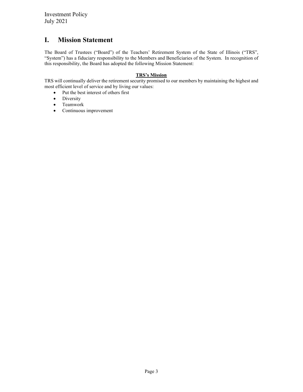## <span id="page-2-0"></span>**I. Mission Statement**

The Board of Trustees ("Board") of the Teachers' Retirement System of the State of Illinois ("TRS", "System") has a fiduciary responsibility to the Members and Beneficiaries of the System. In recognition of this responsibility, the Board has adopted the following Mission Statement:

#### **TRS's Mission**

TRS will continually deliver the retirement security promised to our members by maintaining the highest and most efficient level of service and by living our values:

- Put the best interest of others first
- Diversity
- Teamwork
- Continuous improvement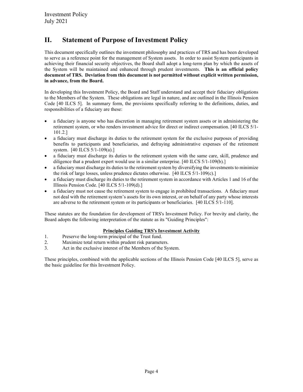## <span id="page-3-0"></span>**II. Statement of Purpose of Investment Policy**

This document specifically outlines the investment philosophy and practices of TRS and has been developed to serve as a reference point for the management of System assets. In order to assist System participants in achieving their financial security objectives, the Board shall adopt a long-term plan by which the assets of the System will be maintained and enhanced through prudent investments. **This is an official policy document of TRS. Deviation from this document is not permitted without explicit written permission, in advance, from the Board.**

In developing this Investment Policy, the Board and Staff understand and accept their fiduciary obligations to the Members of the System. These obligations are legal in nature, and are outlined in the Illinois Pension Code [40 ILCS 5]. In summary form, the provisions specifically referring to the definitions, duties, and responsibilities of a fiduciary are these:

- a fiduciary is anyone who has discretion in managing retirement system assets or in administering the retirement system, or who renders investment advice for direct or indirect compensation. [40 ILCS 5/1- 101.2.]
- a fiduciary must discharge its duties to the retirement system for the exclusive purposes of providing benefits to participants and beneficiaries, and defraying administrative expenses of the retirement system. [40 ILCS 5/1-109(a).]
- a fiduciary must discharge its duties to the retirement system with the same care, skill, prudence and diligence that a prudent expert would use in a similar enterprise. [40 ILCS 5/1-109(b).]
- a fiduciary must discharge its duties to the retirement system by diversifying the investments to minimize the risk of large losses, unless prudence dictates otherwise. [40 ILCS 5/1-109(c).]
- a fiduciary must discharge its duties to the retirement system in accordance with Articles 1 and 16 of the Illinois Pension Code. [40 ILCS 5/1-109(d).]
- a fiduciary must not cause the retirement system to engage in prohibited transactions. A fiduciary must not deal with the retirement system's assets for its own interest, or on behalf of any party whose interests are adverse to the retirement system or its participants or beneficiaries. [40 ILCS 5/1-110].

These statutes are the foundation for development of TRS's Investment Policy. For brevity and clarity, the Board adopts the following interpretation of the statute as its "Guiding Principles":

#### **Principles Guiding TRS's Investment Activity**

- 1. Preserve the long-term principal of the Trust fund.
- 2. Maximize total return within prudent risk parameters.
- 3. Act in the exclusive interest of the Members of the System.

These principles, combined with the applicable sections of the Illinois Pension Code [40 ILCS 5], serve as the basic guideline for this Investment Policy.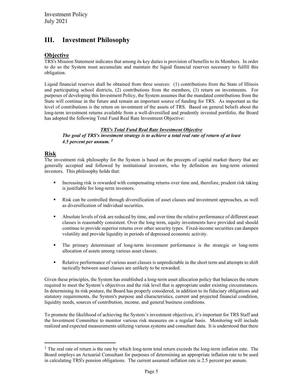## <span id="page-4-0"></span>**III. Investment Philosophy**

#### **Objective**

TRS's Mission Statement indicates that among its key duties is provision of benefits to its Members. In order to do so the System must accumulate and maintain the liquid financial reserves necessary to fulfill this obligation.

Liquid financial reserves shall be obtained from three sources: (1) contributions from the State of Illinois and participating school districts, (2) contributions from the members, (3) return on investments. For purposes of developing this Investment Policy, the System assumes that the mandated contributions from the State will continue in the future and remain an important source of funding for TRS. As important as the level of contributions is the return on investment of the assets of TRS. Based on general beliefs about the long-term investment returns available from a well-diversified and prudently invested portfolio, the Board has adopted the following Total Fund Real Rate Investment Objective:

#### *TRS's Total Fund Real Rate Investment Objective*

*The goal of TRS's investment strategy is to achieve a total real rate of return of at least 4.5 percent per annum. [1](#page-4-1)*

#### **Risk**

The investment risk philosophy for the System is based on the precepts of capital market theory that are generally accepted and followed by institutional investors, who by definition are long-term oriented investors. This philosophy holds that:

- Increasing risk is rewarded with compensating returns over time and, therefore, prudent risk taking is justifiable for long-term investors.
- Risk can be controlled through diversification of asset classes and investment approaches, as well as diversification of individual securities.
- Absolute levels of risk are reduced by time, and over time the relative performance of different asset classes is reasonably consistent. Over the long term, equity investments have provided and should continue to provide superior returns over other security types. Fixed-income securities can dampen volatility and provide liquidity in periods of depressed economic activity.
- The primary determinant of long-term investment performance is the strategic or long-term allocation of assets among various asset classes.
- Relative performance of various asset classes is unpredictable in the short term and attempts to shift tactically between asset classes are unlikely to be rewarded.

Given these principles, the System has established a long-term asset allocation policy that balances the return required to meet the System's objectives and the risk level that is appropriate under existing circumstances. In determining its risk posture, the Board has properly considered, in addition to its fiduciary obligations and statutory requirements, the System's purpose and characteristics, current and projected financial condition, liquidity needs, sources of contribution, income, and general business conditions.

To promote the likelihood of achieving the System's investment objectives, it's important for TRS Staff and the Investment Committee to monitor various risk measures on a regular basis. Monitoring will include realized and expected measurements utilizing various systems and consultant data. It is understood that there

<span id="page-4-1"></span><sup>&</sup>lt;sup>1</sup> The real rate of return is the rate by which long-term total return exceeds the long-term inflation rate. The Board employs an Actuarial Consultant for purposes of determining an appropriate inflation rate to be used in calculating TRS's pension obligations. The current assumed inflation rate is 2.5 percent per annum.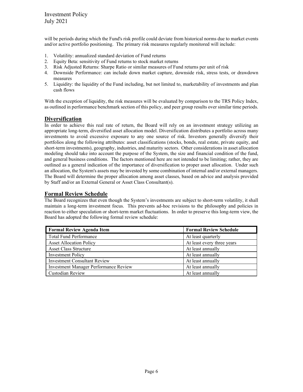will be periods during which the Fund's risk profile could deviate from historical norms due to market events and/or active portfolio positioning. The primary risk measures regularly monitored will include:

- 1. Volatility: annualized standard deviation of Fund returns
- 2. Equity Beta: sensitivity of Fund returns to stock market returns
- 3. Risk Adjusted Returns: Sharpe Ratio or similar measures of Fund returns per unit of risk
- 4. Downside Performance: can include down market capture, downside risk, stress tests, or drawdown measures
- 5. Liquidity: the liquidity of the Fund including, but not limited to, marketability of investments and plan cash flows

With the exception of liquidity, the risk measures will be evaluated by comparison to the TRS Policy Index, as outlined in performance benchmark section of this policy, and peer group results over similar time periods.

#### **Diversification**

In order to achieve this real rate of return, the Board will rely on an investment strategy utilizing an appropriate long-term, diversified asset allocation model. Diversification distributes a portfolio across many investments to avoid excessive exposure to any one source of risk. Investors generally diversify their portfolios along the following attributes: asset classifications (stocks, bonds, real estate, private equity, and short-term investments), geography, industries, and maturity sectors. Other considerations in asset allocation modeling should take into account the purpose of the System, the size and financial condition of the fund, and general business conditions. The factors mentioned here are not intended to be limiting; rather, they are outlined as a general indication of the importance of diversification to proper asset allocation. Under such an allocation, the System's assets may be invested by some combination of internal and/or external managers. The Board will determine the proper allocation among asset classes, based on advice and analysis provided by Staff and/or an External General or Asset Class Consultant(s).

#### **Formal Review Schedule**

The Board recognizes that even though the System's investments are subject to short-term volatility, it shall maintain a long-term investment focus. This prevents ad-hoc revisions to the philosophy and policies in reaction to either speculation or short-term market fluctuations. In order to preserve this long-term view, the Board has adopted the following formal review schedule:

| <b>Formal Review Agenda Item</b>             | <b>Formal Review Schedule</b> |
|----------------------------------------------|-------------------------------|
| <b>Total Fund Performance</b>                | At least quarterly            |
| <b>Asset Allocation Policy</b>               | At least every three years    |
| <b>Asset Class Structure</b>                 | At least annually             |
| <b>Investment Policy</b>                     | At least annually             |
| <b>Investment Consultant Review</b>          | At least annually             |
| <b>Investment Manager Performance Review</b> | At least annually             |
| Custodian Review                             | At least annually             |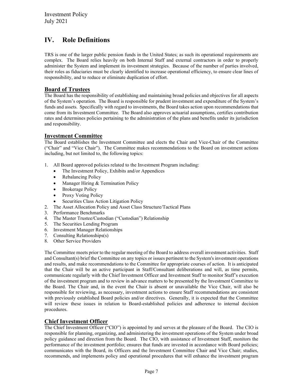## <span id="page-6-0"></span>**IV. Role Definitions**

TRS is one of the larger public pension funds in the United States; as such its operational requirements are complex. The Board relies heavily on both Internal Staff and external contractors in order to properly administer the System and implement its investment strategies. Because of the number of parties involved, their roles as fiduciaries must be clearly identified to increase operational efficiency, to ensure clear lines of responsibility, and to reduce or eliminate duplication of effort.

#### **Board of Trustees**

The Board has the responsibility of establishing and maintaining broad policies and objectives for all aspects of the System's operation. The Board is responsible for prudent investment and expenditure of the System's funds and assets. Specifically with regard to investments, the Board takes action upon recommendations that come from its Investment Committee. The Board also approves actuarial assumptions, certifies contribution rates and determines policies pertaining to the administration of the plans and benefits under its jurisdiction and responsibility.

#### **Investment Committee**

The Board establishes the Investment Committee and elects the Chair and Vice-Chair of the Committee ("Chair" and "Vice Chair"). The Committee makes recommendations to the Board on investment actions including, but not limited to, the following topics:

- 1. All Board approved policies related to the Investment Program including:
	- The Investment Policy, Exhibits and/or Appendices
	- Rebalancing Policy
	- Manager Hiring & Termination Policy
	- Brokerage Policy
	- Proxy Voting Policy
	- Securities Class Action Litigation Policy
- 2. The Asset Allocation Policy and Asset Class Structure/Tactical Plans
- 3. Performance Benchmarks
- 4. The Master Trustee/Custodian ("Custodian") Relationship
- 5. The Securities Lending Program
- 6. Investment Manager Relationships
- 7. Consulting Relationships(s)
- 8. Other Service Providers

The Committee meets prior to the regular meeting of the Board to address overall investment activities. Staff and Consultant(s) brief the Committee on any topics or issues pertinent to the System's investment operations and results, and make recommendations to the Committee for appropriate courses of action. It is anticipated that the Chair will be an active participant in Staff/Consultant deliberations and will, as time permits, communicate regularly with the Chief Investment Officer and Investment Staff to monitor Staff's execution of the investment program and to review in advance matters to be presented by the Investment Committee to the Board. The Chair and, in the event the Chair is absent or unavailable the Vice Chair, will also be responsible for reviewing, as necessary, investment actions to ensure Staff recommendations are consistent with previously established Board policies and/or directives. Generally, it is expected that the Committee will review these issues in relation to Board-established policies and adherence to internal decision procedures.

#### **Chief Investment Officer**

The Chief Investment Officer ("CIO") is appointed by and serves at the pleasure of the Board. The CIO is responsible for planning, organizing, and administering the investment operations of the System under broad policy guidance and direction from the Board. The CIO, with assistance of Investment Staff, monitors the performance of the investment portfolio; ensures that funds are invested in accordance with Board policies; communicates with the Board, its Officers and the Investment Committee Chair and Vice Chair; studies, recommends, and implements policy and operational procedures that will enhance the investment program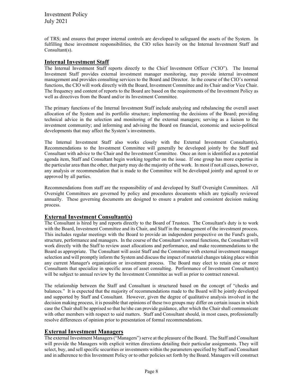of TRS; and ensures that proper internal controls are developed to safeguard the assets of the System. In fulfilling these investment responsibilities, the CIO relies heavily on the Internal Investment Staff and Consultant(s).

#### **Internal Investment Staff**

The Internal Investment Staff reports directly to the Chief Investment Officer ("CIO"). The Internal Investment Staff provides external investment manager monitoring, may provide internal investment management and provides consulting services to the Board and Director. In the course of the CIO's normal functions, the CIO will work directly with the Board, Investment Committee and its Chair and/or Vice Chair. The frequency and content of reports to the Board are based on the requirements of the Investment Policy as well as directives from the Board and/or its Investment Committee.

The primary functions of the Internal Investment Staff include analyzing and rebalancing the overall asset allocation of the System and its portfolio structure; implementing the decisions of the Board; providing technical advice in the selection and monitoring of the external managers; serving as a liaison to the investment community; and informing and advising the Board on financial, economic and socio-political developments that may affect the System's investments.

The Internal Investment Staff also works closely with the External Investment Consultant(s)**.**  Recommendations to the Investment Committee will generally be developed jointly by the Staff and Consultant with advice to the Chair and the Investment Committee. Once an item is identified as a potential agenda item, Staff and Consultant begin working together on the issue. If one group has more expertise in the particular area than the other, that party may do the majority of the work. In most if not all cases, however, any analysis or recommendation that is made to the Committee will be developed jointly and agreed to or approved by all parties.

Recommendations from staff are the responsibility of and developed by Staff Oversight Committees. All Oversight Committees are governed by policy and procedures documents which are typically reviewed annually. These governing documents are designed to ensure a prudent and consistent decision making process.

#### **External Investment Consultant(s)**

The Consultant is hired by and reports directly to the Board of Trustees. The Consultant's duty is to work with the Board, Investment Committee and its Chair, and Staff in the management of the investment process. This includes regular meetings with the Board to provide an independent perspective on the Fund's goals, structure, performance and managers. In the course of the Consultant's normal functions, the Consultant will work directly with the Staff to review asset allocations and performance, and make recommendations to the Board as appropriate. The Consultant will assist Staff and the Committee with external investment manager selection and will promptly inform the System and discuss the impact of material changes taking place within any current Manager's organization or investment process. The Board may elect to retain one or more Consultants that specialize in specific areas of asset consulting. Performance of Investment Consultant(s) will be subject to annual review by the Investment Committee as well as prior to contract renewal.

The relationship between the Staff and Consultant is structured based on the concept of "checks and balances." It is expected that the majority of recommendations made to the Board will be jointly developed and supported by Staff and Consultant. However, given the degree of qualitative analysis involved in the decision making process, it is possible that opinions of these two groups may differ on certain issues in which case the Chair shall be apprised so that he/she can provide guidance, after which the Chair shall communicate with other members with respect to said matters. Staff and Consultant should, in most cases, professionally resolve differences of opinion prior to presentation of formal recommendations.

#### **External Investment Managers**

The external Investment Managers ("Managers") serve at the pleasure of the Board. The Staff and Consultant will provide the Managers with explicit written directions detailing their particular assignments. They will select, buy, and sell specific securities or investments within the parameters specified by Staff and Consultant and in adherence to this Investment Policy or to other policies set forth by the Board. Managers will construct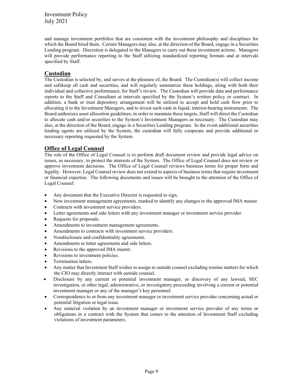and manage investment portfolios that are consistent with the investment philosophy and disciplines for which the Board hired them. Certain Managers may also, at the direction of the Board, engage in a Securities Lending program. Discretion is delegated to the Managers to carry out these investment actions. Managers will provide performance reporting to the Staff utilizing standardized reporting formats and at intervals specified by Staff.

#### **Custodian**

The Custodian is selected by, and serves at the pleasure of, the Board. The Custodian(s) will collect income and safekeep all cash and securities, and will regularly summarize these holdings, along with both their individual and collective performance, for Staff's review. The Custodian will provide data and performance reports to the Staff and Consultant at intervals specified by the System's written policy or contract. In addition, a bank or trust depository arrangement will be utilized to accept and hold cash flow prior to allocating it to the Investment Managers, and to invest such cash in liquid, interest-bearing instruments. The Board authorizes asset allocation guidelines; in order to maintain these targets, Staff will direct the Custodian to allocate cash and/or securities to the System's Investment Managers as necessary. The Custodian may also, at the direction of the Board, engage in a Securities Lending program. In the event additional securities lending agents are utilized by the System, the custodian will fully cooperate and provide additional or necessary reporting requested by the System.

#### **Office of Legal Counsel**

The role of the Office of Legal Counsel is to perform draft document review and provide legal advice on issues, as necessary, to protect the interests of the System. The Office of Legal Counsel does not review or approve investment decisions. The Office of Legal Counsel reviews business terms for proper form and legality. However, Legal Counsel review does not extend to aspects of business terms that require investment or financial expertise. The following documents and issues will be brought to the attention of the Office of Legal Counsel:

- Any document that the Executive Director is requested to sign.
- New investment management agreements, marked to identify any changes to the approved IMA master.
- Contracts with investment service providers.
- Letter agreements and side letters with any investment manager or investment service provider.
- Requests for proposals.
- Amendments to investment management agreements.
- Amendments to contracts with investment service providers.
- Nondisclosure and confidentiality agreements.
- Amendments to letter agreements and side letters.
- Revisions to the approved IMA master.
- Revisions to investment policies.
- Termination letters.
- Any matter that Investment Staff wishes to assign to outside counsel excluding routine matters for which the CIO may directly interact with outside counsel.
- Disclosure by any current or potential investment manager, or discovery of any lawsuit, SEC investigation, or other legal, administrative, or investigatory proceeding involving a current or potential investment manager or any of the manager's key personnel.
- Correspondence to or from any investment manager or investment service provider concerning actual or potential litigation or legal issue.
- Any material violation by an investment manager or investment service provider of any terms or obligations in a contract with the System that comes to the attention of Investment Staff excluding violations of investment parameters.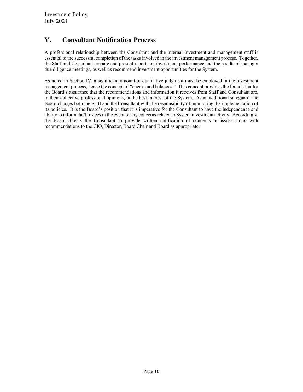## <span id="page-9-0"></span>**V. Consultant Notification Process**

A professional relationship between the Consultant and the internal investment and management staff is essential to the successful completion of the tasks involved in the investment management process. Together, the Staff and Consultant prepare and present reports on investment performance and the results of manager due diligence meetings, as well as recommend investment opportunities for the System.

As noted in Section IV, a significant amount of qualitative judgment must be employed in the investment management process, hence the concept of "checks and balances." This concept provides the foundation for the Board's assurance that the recommendations and information it receives from Staff and Consultant are, in their collective professional opinions, in the best interest of the System. As an additional safeguard, the Board charges both the Staff and the Consultant with the responsibility of monitoring the implementation of its policies. It is the Board's position that it is imperative for the Consultant to have the independence and ability to inform the Trustees in the event of any concerns related to System investment activity. Accordingly, the Board directs the Consultant to provide written notification of concerns or issues along with recommendations to the CIO, Director, Board Chair and Board as appropriate.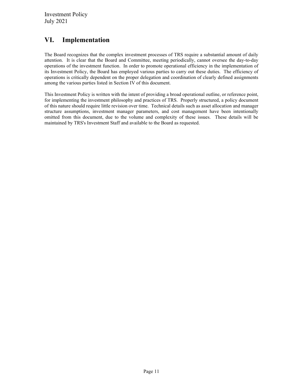## <span id="page-10-0"></span>**VI. Implementation**

The Board recognizes that the complex investment processes of TRS require a substantial amount of daily attention. It is clear that the Board and Committee, meeting periodically, cannot oversee the day-to-day operations of the investment function. In order to promote operational efficiency in the implementation of its Investment Policy, the Board has employed various parties to carry out these duties. The efficiency of operations is critically dependent on the proper delegation and coordination of clearly defined assignments among the various parties listed in Section IV of this document.

This Investment Policy is written with the intent of providing a broad operational outline, or reference point, for implementing the investment philosophy and practices of TRS. Properly structured, a policy document of this nature should require little revision over time. Technical details such as asset allocation and manager structure assumptions, investment manager parameters, and cost management have been intentionally omitted from this document, due to the volume and complexity of these issues. These details will be maintained by TRS's Investment Staff and available to the Board as requested.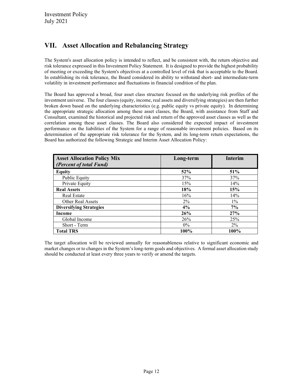## <span id="page-11-0"></span>**VII. Asset Allocation and Rebalancing Strategy**

The System's asset allocation policy is intended to reflect, and be consistent with, the return objective and risk tolerance expressed in this Investment Policy Statement. It is designed to provide the highest probability of meeting or exceeding the System's objectives at a controlled level of risk that is acceptable to the Board. In establishing its risk tolerance, the Board considered its ability to withstand short- and intermediate-term volatility in investment performance and fluctuations in financial condition of the plan.

The Board has approved a broad, four asset class structure focused on the underlying risk profiles of the investment universe. The four classes (equity, income, real assets and diversifying strategies) are then further broken down based on the underlying characteristics (e.g. public equity vs private equity). In determining the appropriate strategic allocation among these asset classes, the Board, with assistance from Staff and Consultant, examined the historical and projected risk and return of the approved asset classes as well as the correlation among these asset classes. The Board also considered the expected impact of investment performance on the liabilities of the System for a range of reasonable investment policies. Based on its determination of the appropriate risk tolerance for the System, and its long-term return expectations, the Board has authorized the following Strategic and Interim Asset Allocation Policy:

| <b>Asset Allocation Policy Mix</b><br>(Percent of total Fund) | Long-term | <b>Interim</b> |
|---------------------------------------------------------------|-----------|----------------|
| Equity                                                        | 52%       | 51%            |
| Public Equity                                                 | 37%       | 37%            |
| Private Equity                                                | 15%       | 14%            |
| <b>Real Assets</b>                                            | 18%       | 15%            |
| Real Estate                                                   | 16%       | 14%            |
| Other Real Assets                                             | $2\%$     | $1\%$          |
| <b>Diversifying Strategies</b>                                | 4%        | $7\%$          |
| Income                                                        | 26%       | 27%            |
| Global Income                                                 | 26%       | 25%            |
| Short - Term                                                  | $0\%$     | $2\%$          |
| <b>Total TRS</b>                                              | 100%      | 100%           |

The target allocation will be reviewed annually for reasonableness relative to significant economic and market changes or to changes in the System's long-term goals and objectives. A formal asset allocation study should be conducted at least every three years to verify or amend the targets.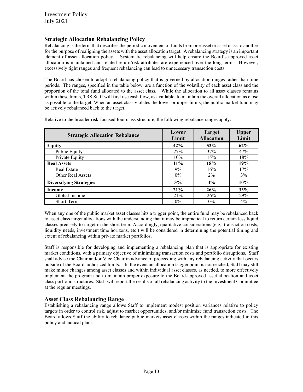#### **Strategic Allocation Rebalancing Policy**

Rebalancing is the term that describes the periodic movement of funds from one asset or asset class to another for the purpose of realigning the assets with the asset allocation target. A rebalancing strategy is an important element of asset allocation policy. Systematic rebalancing will help ensure the Board's approved asset allocation is maintained and related return/risk attributes are experienced over the long term. However, excessively tight ranges and frequent rebalancing can lead to unnecessary transaction costs.

The Board has chosen to adopt a rebalancing policy that is governed by allocation ranges rather than time periods. The ranges, specified in the table below, are a function of the volatility of each asset class and the proportion of the total fund allocated to the asset class. While the allocation to all asset classes remains within these limits, TRS Staff will first use cash flow, as available, to maintain the overall allocation as close as possible to the target. When an asset class violates the lower or upper limits, the public market fund may be actively rebalanced back to the target.

Relative to the broader risk-focused four class structure, the following rebalance ranges apply:

| <b>Strategic Allocation Rebalance</b> | Lower<br>Limit | <b>Target</b><br><b>Allocation</b> | <b>Upper</b><br>Limit |
|---------------------------------------|----------------|------------------------------------|-----------------------|
| <b>Equity</b>                         | 42%            | 52%                                | 62%                   |
| Public Equity                         | 27%            | 37%                                | 47%                   |
| Private Equity                        | 10%            | 15%                                | 18%                   |
| <b>Real Assets</b>                    | 11%            | 18%                                | 19%                   |
| Real Estate                           | 9%             | 16%                                | 17%                   |
| Other Real Assets                     | $0\%$          | $2\%$                              | 3%                    |
| <b>Diversifying Strategies</b>        | 3%             | 4%                                 | 10%                   |
| Income                                | 21%            | 26%                                | 33%                   |
| Global Income                         | 21%            | 26%                                | 29%                   |
| Short-Term                            | $0\%$          | $0\%$                              | $4\%$                 |

When any one of the public market asset classes hits a trigger point, the entire fund may be rebalanced back to asset class target allocations with the understanding that it may be impractical to return certain less liquid classes precisely to target in the short term. Accordingly, qualitative considerations (e.g., transaction costs, liquidity needs, investment time horizons, etc.) will be considered in determining the potential timing and extent of rebalancing within private market portfolios.

Staff is responsible for developing and implementing a rebalancing plan that is appropriate for existing market conditions, with a primary objective of minimizing transaction costs and portfolio disruptions. Staff shall advise the Chair and/or Vice Chair in advance of proceeding with any rebalancing activity that occurs outside of the Board authorized limits. In the event an allocation trigger point is not reached, Staff may still make minor changes among asset classes and within individual asset classes, as needed, to more effectively implement the program and to maintain proper exposure to the Board-approved asset allocation and asset class portfolio structures. Staff will report the results of all rebalancing activity to the Investment Committee at the regular meetings.

#### **Asset Class Rebalancing Range**

Establishing a rebalancing range allows Staff to implement modest position variances relative to policy targets in order to control risk, adjust to market opportunities, and/or minimize fund transaction costs. The Board allows Staff the ability to rebalance public markets asset classes within the ranges indicated in this policy and tactical plans.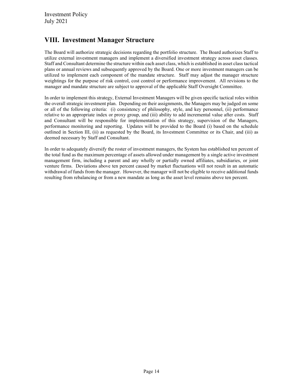## <span id="page-13-0"></span>**VIII. Investment Manager Structure**

The Board will authorize strategic decisions regarding the portfolio structure. The Board authorizes Staff to utilize external investment managers and implement a diversified investment strategy across asset classes. Staff and Consultant determine the structure within each asset class, which is established in asset class tactical plans or annual reviews and subsequently approved by the Board. One or more investment managers can be utilized to implement each component of the mandate structure. Staff may adjust the manager structure weightings for the purpose of risk control, cost control or performance improvement. All revisions to the manager and mandate structure are subject to approval of the applicable Staff Oversight Committee.

In order to implement this strategy, External Investment Managers will be given specific tactical roles within the overall strategic investment plan. Depending on their assignments, the Managers may be judged on some or all of the following criteria: (i) consistency of philosophy, style, and key personnel, (ii) performance relative to an appropriate index or proxy group, and (iii) ability to add incremental value after costs. Staff and Consultant will be responsible for implementation of this strategy, supervision of the Managers, performance monitoring and reporting. Updates will be provided to the Board (i) based on the schedule outlined in Section III, (ii) as requested by the Board, its Investment Committee or its Chair, and (iii) as deemed necessary by Staff and Consultant.

In order to adequately diversify the roster of investment managers, the System has established ten percent of the total fund as the maximum percentage of assets allowed under management by a single active investment management firm, including a parent and any wholly or partially owned affiliates, subsidiaries, or joint venture firms. Deviations above ten percent caused by market fluctuations will not result in an automatic withdrawal of funds from the manager. However, the manager will not be eligible to receive additional funds resulting from rebalancing or from a new mandate as long as the asset level remains above ten percent.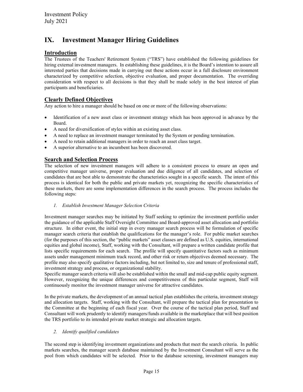## <span id="page-14-0"></span>**IX. Investment Manager Hiring Guidelines**

#### **Introduction**

The Trustees of the Teachers' Retirement System ("TRS") have established the following guidelines for hiring external investment managers. In establishing these guidelines, it is the Board's intention to assure all interested parties that decisions made in carrying out these actions occur in a full disclosure environment characterized by competitive selection, objective evaluation, and proper documentation. The overriding consideration with respect to all decisions is that they shall be made solely in the best interest of plan participants and beneficiaries.

#### **Clearly Defined Objectives**

Any action to hire a manager should be based on one or more of the following observations:

- Identification of a new asset class or investment strategy which has been approved in advance by the Board.
- A need for diversification of styles within an existing asset class.
- A need to replace an investment manager terminated by the System or pending termination.
- A need to retain additional managers in order to reach an asset class target.
- A superior alternative to an incumbent has been discovered.

#### **Search and Selection Process**

The selection of new investment managers will adhere to a consistent process to ensure an open and competitive manager universe, proper evaluation and due diligence of all candidates, and selection of candidates that are best able to demonstrate the characteristics sought in a specific search. The intent of this process is identical for both the public and private markets yet, recognizing the specific characteristics of these markets, there are some implementation differences in the search process. The process includes the following steps:

*1. Establish Investment Manager Selection Criteria*

Investment manager searches may be initiated by Staff seeking to optimize the investment portfolio under the guidance of the applicable Staff Oversight Committee and Board-approved asset allocation and portfolio structure. In either event, the initial step in every manager search process will be formulation of specific manager search criteria that establish the qualifications for the manager's role. For public market searches (for the purposes of this section, the "public markets" asset classes are defined as U.S. equities, international equities and global income), Staff, working with the Consultant, will prepare a written candidate profile that lists specific requirements for each search. The profile will specify quantitative factors such as minimum assets under management minimum track record, and other risk or return objectives deemed necessary. The profile may also specify qualitative factors including, but not limited to, size and tenure of professional staff, investment strategy and process, or organizational stability.

Specific manager search criteria will also be established within the small and mid-cap public equity segment. However, recognizing the unique differences and competitiveness of this particular segment, Staff will continuously monitor the investment manager universe for attractive candidates.

In the private markets, the development of an annual tactical plan establishes the criteria, investment strategy and allocation targets. Staff, working with the Consultant, will prepare the tactical plan for presentation to the Committee at the beginning of each fiscal year. Over the course of the tactical plan period, Staff and Consultant will work prudently to identify managers/funds available in the marketplace that will best position the TRS portfolio to its intended private market strategic and allocation targets.

#### *2. Identify qualified candidates*

The second step is identifying investment organizations and products that meet the search criteria. In public markets searches, the manager search database maintained by the Investment Consultant will serve as the pool from which candidates will be selected. Prior to the database screening, investment managers may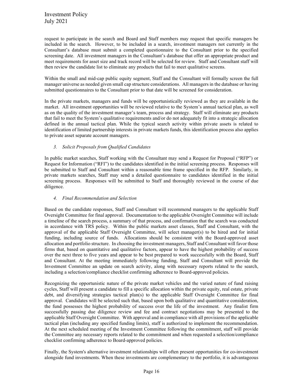request to participate in the search and Board and Staff members may request that specific managers be included in the search. However, to be included in a search, investment managers not currently in the Consultant's database must submit a completed questionnaire to the Consultant prior to the specified screening date. All investment managers in the Consultant's database that offer an appropriate product and meet requirements for asset size and track record will be selected for review. Staff and Consultant staff will then review the candidate list to eliminate any products that fail to meet qualitative screens.

Within the small and mid-cap public equity segment, Staff and the Consultant will formally screen the full manager universe as needed given small cap structure considerations. All managers in the database or having submitted questionnaires to the Consultant prior to that date will be screened for consideration.

In the private markets, managers and funds will be opportunistically reviewed as they are available in the market. All investment opportunities will be reviewed relative to the System's annual tactical plan, as well as on the quality of the investment manager's team, process and strategy. Staff will eliminate any products that fail to meet the System's qualitative requirements and/or do not adequately fit into a strategic allocation defined in the annual tactical plan. While the typical search activity within private assets is related to identification of limited partnership interests in private markets funds, this identification process also applies to private asset separate account managers.

#### *3. Solicit Proposals from Qualified Candidates*

In public market searches, Staff working with the Consultant may send a Request for Proposal ("RFP") or Request for Information ("RFI") to the candidates identified in the initial screening process. Responses will be submitted to Staff and Consultant within a reasonable time frame specified in the RFP. Similarly, in private markets searches, Staff may send a detailed questionnaire to candidates identified in the initial screening process. Responses will be submitted to Staff and thoroughly reviewed in the course of due diligence.

#### *4. Final Recommendation and Selection*

Based on the candidate responses, Staff and Consultant will recommend managers to the applicable Staff Oversight Committee for final approval. Documentation to the applicable Oversight Committee will include a timeline of the search process, a summary of that process, and confirmation that the search was conducted in accordance with TRS policy. Within the public markets asset classes, Staff and Consultant, with the approval of the applicable Staff Oversight Committee, will select manager(s) to be hired and for initial funding, including source of funds. Allocations should be consistent with the Board-approved asset allocation and portfolio structure. In choosing the investment managers, Staff and Consultant will favor those firms that, based on quantitative and qualitative factors, appear to have the highest probability of success over the next three to five years and appear to be best prepared to work successfully with the Board, Staff and Consultant. At the meeting immediately following funding, Staff and Consultant will provide the Investment Committee an update on search activity, along with necessary reports related to the search, including a selection/compliance checklist confirming adherence to Board-approved policies.

Recognizing the opportunistic nature of the private market vehicles and the varied nature of fund raising cycles, Staff will present a candidate to fill a specific allocation within the private equity, real estate, private debt, and diversifying strategies tactical plan(s) to the applicable Staff Oversight Committee for final approval. Candidates will be selected such that, based upon both qualitative and quantitative consideration, the fund possesses the highest probability of success over the life of the investment. Any finalist firm successfully passing due diligence review and fee and contract negotiations may be presented to the applicable Staff Oversight Committee. With approval and in compliance with all provisions of the applicable tactical plan (including any specified funding limits), staff is authorized to implement the recommendation. At the next scheduled meeting of the Investment Committee following the commitment, staff will provide the Committee any necessary reports related to the commitment and when requested a selection/compliance checklist confirming adherence to Board-approved policies.

Finally, the System's alternative investment relationships will often present opportunities for co-investment alongside fund investments. When these investments are complementary to the portfolio, it is advantageous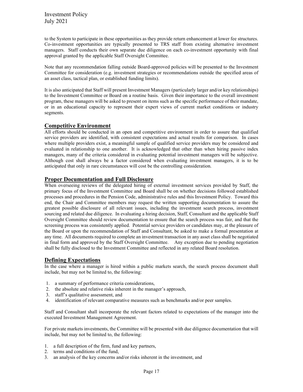to the System to participate in these opportunities as they provide return enhancement at lower fee structures. Co-investment opportunities are typically presented to TRS staff from existing alternative investment managers. Staff conducts their own separate due diligence on each co-investment opportunity with final approval granted by the applicable Staff Oversight Committee.

Note that any recommendation falling outside Board-approved policies will be presented to the Investment Committee for consideration (e.g. investment strategies or recommendations outside the specified areas of an asset class, tactical plan, or established funding limits).

It is also anticipated that Staff will present Investment Managers (particularly larger and/or key relationships) to the Investment Committee or Board on a routine basis. Given their importance to the overall investment program, these managers will be asked to present on items such as the specific performance of their mandate, or in an educational capacity to represent their expert views of current market conditions or industry segments.

#### **Competitive Environment**

All efforts should be conducted in an open and competitive environment in order to assure that qualified service providers are identified, with consistent expectations and actual results for comparison. In cases where multiple providers exist, a meaningful sample of qualified service providers may be considered and evaluated in relationship to one another. It is acknowledged that other than when hiring passive index managers, many of the criteria considered in evaluating potential investment managers will be subjective. Although cost shall always be a factor considered when evaluating investment managers, it is to be anticipated that only in rare circumstances will cost be the controlling consideration.

#### **Proper Documentation and Full Disclosure**

When overseeing reviews of the delegated hiring of external investment services provided by Staff, the primary focus of the Investment Committee and Board shall be on whether decisions followed established processes and procedures in the Pension Code, administrative rules and this Investment Policy. Toward this end, the Chair and Committee members may request the written supporting documentation to assure the greatest possible disclosure of all relevant issues, including the investment search process, investment sourcing and related due diligence. In evaluating a hiring decision, Staff, Consultant and the applicable Staff Oversight Committee should review documentation to ensure that the search process was fair, and that the screening process was consistently applied. Potential service providers or candidates may, at the pleasure of the Board or upon the recommendation of Staff and Consultant, be asked to make a formal presentation at any time. All documents required to complete an investment transaction in any asset class shall be negotiated in final form and approved by the Staff Oversight Committee. Any exception due to pending negotiation shall be fully disclosed to the Investment Committee and reflected in any related Board resolution.

#### **Defining Expectations**

In the case where a manager is hired within a public markets search, the search process document shall include, but may not be limited to, the following:

- 1. a summary of performance criteria considerations,
- 2. the absolute and relative risks inherent in the manager's approach,
- 3. staff's qualitative assessment, and
- 4. identification of relevant comparative measures such as benchmarks and/or peer samples.

Staff and Consultant shall incorporate the relevant factors related to expectations of the manager into the executed Investment Management Agreement.

For private markets investments, the Committee will be presented with due diligence documentation that will include, but may not be limited to, the following:

- 1. a full description of the firm, fund and key partners,
- 2. terms and conditions of the fund,
- 3. an analysis of the key concerns and/or risks inherent in the investment, and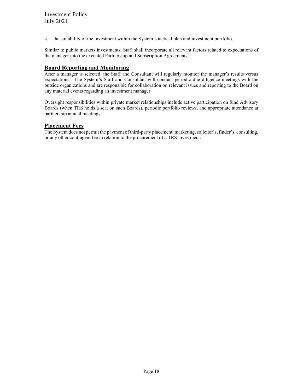4. the suitability of the investment within the System's tactical plan and investment portfolio.

Similar to public markets investments, Staff shall incorporate all relevant factors related to expectations of the manager into the executed Partnership and Subscription Agreements.

#### **Board Reporting and Monitoring**

After a manager is selected, the Staff and Consultant will regularly monitor the manager's results versus expectations. The System's Staff and Consultant will conduct periodic due diligence meetings with the outside organizations and are responsible for collaboration on relevant issues and reporting to the Board on any material events regarding an investment manager.

Oversight responsibilities within private market relationships include active participation on fund Advisory Boards (when TRS holds a seat on such Boards), periodic portfolio reviews, and appropriate attendance at partnership annual meetings.

#### **Placement Fees**

The System does not permit the payment of third-party placement, marketing, solicitor's, finder's, consulting, or any other contingent fee in relation to the procurement of a TRS investment.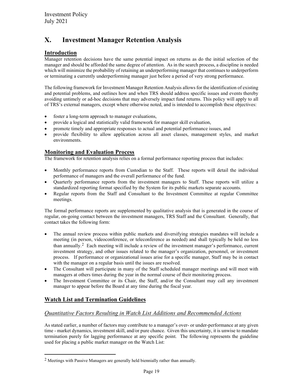## <span id="page-18-0"></span>**X. Investment Manager Retention Analysis**

#### **Introduction**

Manager retention decisions have the same potential impact on returns as do the initial selection of the manager and should be afforded the same degree of attention. As in the search process, a discipline is needed which will minimize the probability of retaining an underperforming manager that continues to underperform or terminating a currently underperforming manager just before a period of very strong performance.

The following framework for Investment Manager Retention Analysis allows for the identification of existing and potential problems, and outlines how and when TRS should address specific issues and events thereby avoiding untimely or ad-hoc decisions that may adversely impact fund returns. This policy will apply to all of TRS's external managers, except where otherwise noted, and is intended to accomplish these objectives:

- foster a long-term approach to manager evaluations,
- provide a logical and statistically valid framework for manager skill evaluation,
- promote timely and appropriate responses to actual and potential performance issues, and
- provide flexibility to allow application across all asset classes, management styles, and market environments.

#### **Monitoring and Evaluation Process**

The framework for retention analysis relies on a formal performance reporting process that includes:

- Monthly performance reports from Custodian to the Staff. These reports will detail the individual performance of managers and the overall performance of the fund.
- Quarterly performance reports from the investment managers to Staff. These reports will utilize a standardized reporting format specified by the System for its public markets separate accounts.
- Regular reports from the Staff and Consultant to the Investment Committee at regular Committee meetings.

The formal performance reports are supplemented by qualitative analysis that is generated in the course of regular, on-going contact between the investment managers, TRS Staff and the Consultant. Generally, that contact takes the following form:

- The annual review process within public markets and diversifying strategies mandates will include a meeting (in person, videoconference, or teleconference as needed) and shall typically be held no less than annually.<sup>2</sup> Each meeting will include a review of the investment manager's performance, current investment strategy, and other issues related to the manager's organization, personnel, or investment process. If performance or organizational issues arise for a specific manager, Staff may be in contact with the manager on a regular basis until the issues are resolved.
- The Consultant will participate in many of the Staff scheduled manager meetings and will meet with managers at others times during the year in the normal course of their monitoring process.
- The Investment Committee or its Chair, the Staff, and/or the Consultant may call any investment manager to appear before the Board at any time during the fiscal year.

#### **Watch List and Termination Guidelines**

#### *Quantitative Factors Resulting in Watch List Additions and Recommended Actions*

As stated earlier, a number of factors may contribute to a manager's over- or under-performance at any given time - market dynamics, investment skill, and/or pure chance. Given this uncertainty, it is unwise to mandate termination purely for lagging performance at any specific point. The following represents the guideline used for placing a public market manager on the Watch List:

<span id="page-18-1"></span><sup>2</sup> Meetings with Passive Managers are generally held biennially rather than annually.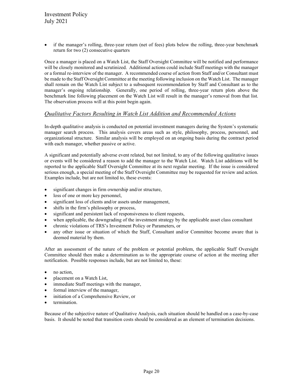if the manager's rolling, three-year return (net of fees) plots below the rolling, three-year benchmark return for two (2) consecutive quarters

Once a manager is placed on a Watch List, the Staff Oversight Committee will be notified and performance will be closely monitored and scrutinized. Additional actions could include Staff meetings with the manager or a formal re-interview of the manager. A recommended course of action from Staff and/or Consultant must be made to the Staff Oversight Committee at the meeting following inclusion on the Watch List. The manager shall remain on the Watch List subject to a subsequent recommendation by Staff and Consultant as to the manager's ongoing relationship. Generally, one period of rolling, three-year return plots above the benchmark line following placement on the Watch List will result in the manager's removal from that list. The observation process will at this point begin again.

#### *Qualitative Factors Resulting in Watch List Addition and Recommended Actions*

In-depth qualitative analysis is conducted on potential investment managers during the System's systematic manager search process. This analysis covers areas such as style, philosophy, process, personnel, and organizational structure. Similar analysis will be employed on an ongoing basis during the contract period with each manager, whether passive or active.

A significant and potentially adverse event related, but not limited, to any of the following qualitative issues or events will be considered a reason to add the manager to the Watch List. Watch List additions will be reported to the applicable Staff Oversight Committee at its next regular meeting. If the issue is considered serious enough, a special meeting of the Staff Oversight Committee may be requested for review and action. Examples include, but are not limited to, these events:

- significant changes in firm ownership and/or structure,
- loss of one or more key personnel,
- significant loss of clients and/or assets under management,
- shifts in the firm's philosophy or process,
- significant and persistent lack of responsiveness to client requests,
- when applicable, the downgrading of the investment strategy by the applicable asset class consultant
- chronic violations of TRS's Investment Policy or Parameters, or
- any other issue or situation of which the Staff, Consultant and/or Committee become aware that is deemed material by them.

After an assessment of the nature of the problem or potential problem, the applicable Staff Oversight Committee should then make a determination as to the appropriate course of action at the meeting after notification. Possible responses include, but are not limited to, these:

- no action,
- placement on a Watch List,
- immediate Staff meetings with the manager,
- formal interview of the manager,
- initiation of a Comprehensive Review, or
- termination.

Because of the subjective nature of Qualitative Analysis, each situation should be handled on a case-by-case basis. It should be noted that transition costs should be considered as an element of termination decisions.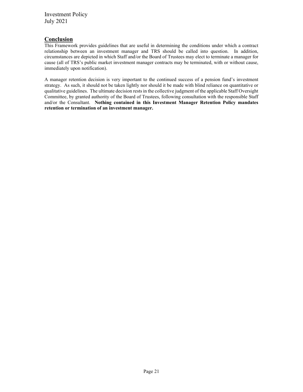#### **Conclusion**

This Framework provides guidelines that are useful in determining the conditions under which a contract relationship between an investment manager and TRS should be called into question. In addition, circumstances are depicted in which Staff and/or the Board of Trustees may elect to terminate a manager for cause (all of TRS's public market investment manager contracts may be terminated, with or without cause, immediately upon notification).

A manager retention decision is very important to the continued success of a pension fund's investment strategy. As such, it should not be taken lightly nor should it be made with blind reliance on quantitative or qualitative guidelines. The ultimate decision rests in the collective judgment of the applicable Staff Oversight Committee, by granted authority of the Board of Trustees, following consultation with the responsible Staff and/or the Consultant. **Nothing contained in this Investment Manager Retention Policy mandates retention or termination of an investment manager.**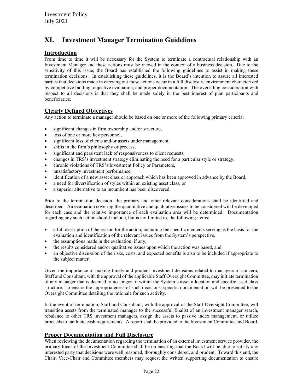## <span id="page-21-0"></span>**XI. Investment Manager Termination Guidelines**

#### **Introduction**

From time to time it will be necessary for the System to terminate a contractual relationship with an Investment Manager and these actions must be viewed in the context of a business decision. Due to the sensitivity of this issue, the Board has established the following guidelines to assist in making these termination decisions. In establishing these guidelines, it is the Board's intention to assure all interested parties that decisions made in carrying out these actions occur in a full disclosure environment characterized by competitive bidding, objective evaluation, and proper documentation. The overriding consideration with respect to all decisions is that they shall be made solely in the best interest of plan participants and beneficiaries.

#### **Clearly Defined Objectives**

Any action to terminate a manager should be based on one or more of the following primary criteria:

- significant changes in firm ownership and/or structure,
- loss of one or more key personnel,
- significant loss of clients and/or assets under management,
- shifts in the firm's philosophy or process,
- significant and persistent lack of responsiveness to client requests,
- changes in TRS's investment strategy eliminating the need for a particular style or strategy,
- chronic violations of TRS's Investment Policy or Parameters,
- unsatisfactory investment performance,
- identification of a new asset class or approach which has been approved in advance by the Board,
- a need for diversification of styles within an existing asset class, or
- a superior alternative to an incumbent has been discovered.

Prior to the termination decision, the primary and other relevant considerations shall be identified and described. An evaluation covering the quantitative and qualitative issues to be considered will be developed for each case and the relative importance of each evaluation area will be determined. Documentation regarding any such action should include, but is not limited to, the following items:

- a full description of the reason for the action, including the specific elements serving as the basis for the evaluation and identification of the relevant issues from the System's perspective,
- the assumptions made in the evaluation, if any,
- the results considered and/or qualitative issues upon which the action was based, and
- an objective discussion of the risks, costs, and expected benefits is also to be included if appropriate to the subject matter.

Given the importance of making timely and prudent investment decisions related to managers of concern, Staff and Consultant, with the approval of the applicable Staff Oversight Committee, may initiate termination of any manager that is deemed to no longer fit within the System's asset allocation and specific asset class structure. To ensure the appropriateness of such decisions, specific documentation will be presented to the Oversight Committee detailing the rationale for such activity.

In the event of termination, Staff and Consultant, with the approval of the Staff Oversight Committee, will transition assets from the terminated manager to the successful finalist of an investment manager search, rebalance to other TRS investment managers, assign the assets to passive index management, or utilize proceeds to facilitate cash requirements. A report shall be provided to the Investment Committee and Board.

#### **Proper Documentation and Full Disclosure**

When reviewing the documentation regarding the termination of an external investment service provider, the primary focus of the Investment Committee shall be on ensuring that the Board will be able to satisfy any interested party that decisions were well reasoned, thoroughly considered, and prudent. Toward this end, the Chair, Vice-Chair and Committee members may request the written supporting documentation to ensure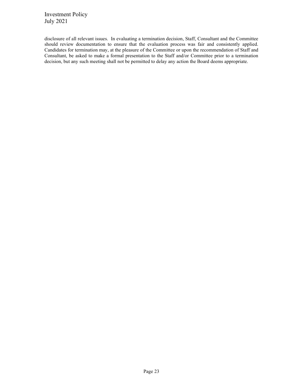disclosure of all relevant issues. In evaluating a termination decision, Staff, Consultant and the Committee should review documentation to ensure that the evaluation process was fair and consistently applied. Candidates for termination may, at the pleasure of the Committee or upon the recommendation of Staff and Consultant, be asked to make a formal presentation to the Staff and/or Committee prior to a termination decision, but any such meeting shall not be permitted to delay any action the Board deems appropriate.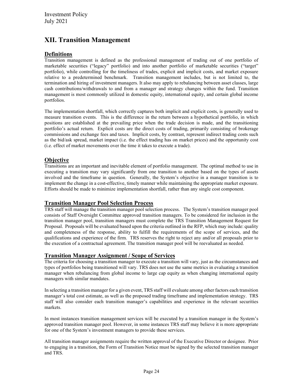## <span id="page-23-0"></span>**XII. Transition Management**

#### **Definitions**

Transition management is defined as the professional management of trading out of one portfolio of marketable securities ("legacy" portfolio) and into another portfolio of marketable securities ("target" portfolio), while controlling for the timeliness of trades, explicit and implicit costs, and market exposure relative to a predetermined benchmark. Transition management includes, but is not limited to, the termination and hiring of investment managers. It also may apply to rebalancing between asset classes, large cash contributions/withdrawals to and from a manager and strategy changes within the fund. Transition management is most commonly utilized in domestic equity, international equity, and certain global income portfolios.

The implementation shortfall, which correctly captures both implicit and explicit costs, is generally used to measure transition events. This is the difference in the return between a hypothetical portfolio, in which positions are established at the prevailing price when the trade decision is made, and the transitioning portfolio's actual return. Explicit costs are the direct costs of trading, primarily consisting of brokerage commissions and exchange fees and taxes. Implicit costs, by contrast, represent indirect trading costs such as the bid/ask spread, market impact (i.e. the effect trading has on market prices) and the opportunity cost (i.e. effect of market movements over the time it takes to execute a trade).

#### **Objective**

Transitions are an important and inevitable element of portfolio management. The optimal method to use in executing a transition may vary significantly from one transition to another based on the types of assets involved and the timeframe in question. Generally, the System's objective in a manager transition is to implement the change in a cost-effective, timely manner while maintaining the appropriate market exposure. Efforts should be made to minimize implementation shortfall, rather than any single cost component.

#### **Transition Manager Pool Selection Process**

TRS staff will manage the transition manager pool selection process. The System's transition manager pool consists of Staff Oversight Committee approved transition managers. To be considered for inclusion in the transition manager pool, transition managers must complete the TRS Transition Management Request for Proposal. Proposals will be evaluated based upon the criteria outlined in the RFP, which may include: quality and completeness of the response, ability to fulfill the requirements of the scope of services, and the qualifications and experience of the firm. TRS reserves the right to reject any and/or all proposals prior to the execution of a contractual agreement. The transition manager pool will be reevaluated as needed.

#### **Transition Manager Assignment / Scope of Services**

The criteria for choosing a transition manager to execute a transition will vary, just as the circumstances and types of portfolios being transitioned will vary. TRS does not use the same metrics in evaluating a transition manager when rebalancing from global income to large cap equity as when changing international equity managers with similar mandates.

In selecting a transition manager for a given event, TRS staff will evaluate among other factors each transition manager's total cost estimate, as well as the proposed trading timeframe and implementation strategy. TRS staff will also consider each transition manager's capabilities and experience in the relevant securities markets.

In most instances transition management services will be executed by a transition manager in the System's approved transition manager pool. However, in some instances TRS staff may believe it is more appropriate for one of the System's investment managers to provide these services.

All transition manager assignments require the written approval of the Executive Director or designee. Prior to engaging in a transition, the Form of Transition Notice must be signed by the selected transition manager and TRS.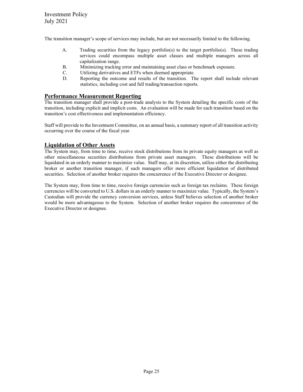The transition manager's scope of services may include, but are not necessarily limited to the following.

- A. Trading securities from the legacy portfolio(s) to the target portfolio(s). These trading services could encompass multiple asset classes and multiple managers across all capitalization range.
- B. Minimizing tracking error and maintaining asset class or benchmark exposure.
- C. Utilizing derivatives and ETFs when deemed appropriate.
- D. Reporting the outcome and results of the transition. The report shall include relevant statistics, including cost and full trading/transaction reports.

#### **Performance Measurement Reporting**

The transition manager shall provide a post-trade analysis to the System detailing the specific costs of the transition, including explicit and implicit costs. An evaluation will be made for each transition based on the transition's cost effectiveness and implementation efficiency.

Staff will provide to the Investment Committee, on an annual basis, a summary report of all transition activity occurring over the course of the fiscal year.

#### **Liquidation of Other Assets**

The System may, from time to time, receive stock distributions from its private equity managers as well as other miscellaneous securities distributions from private asset managers. These distributions will be liquidated in an orderly manner to maximize value. Staff may, at its discretion, utilize either the distributing broker or another transition manager, if such managers offer more efficient liquidation of distributed securities. Selection of another broker requires the concurrence of the Executive Director or designee.

The System may, from time to time, receive foreign currencies such as foreign tax reclaims. These foreign currencies will be converted to U.S. dollars in an orderly manner to maximize value. Typically, the System's Custodian will provide the currency conversion services, unless Staff believes selection of another broker would be more advantageous to the System. Selection of another broker requires the concurrence of the Executive Director or designee.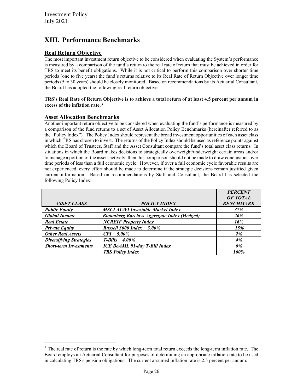## <span id="page-25-0"></span>**XIII. Performance Benchmarks**

#### **Real Return Objective**

The most important investment return objective to be considered when evaluating the System's performance is measured by a comparison of the fund's return to the real rate of return that must be achieved in order for TRS to meet its benefit obligations. While it is not critical to perform this comparison over shorter time periods (one to five years) the fund's returns relative to its Real Rate of Return Objective over longer time periods (5 to 30 years) should be closely monitored. Based on recommendations by its Actuarial Consultant, the Board has adopted the following real return objective:

#### **TRS's Real Rate of Return Objective is to achieve a total return of at least 4.5 percent per annum in excess of the inflation rate.[3](#page-25-1)**

#### **Asset Allocation Benchmarks**

Another important return objective to be considered when evaluating the fund's performance is measured by a comparison of the fund returns to a set of Asset Allocation Policy Benchmarks (hereinafter referred to as the "Policy Index"). The Policy Index should represent the broad investment opportunities of each asset class in which TRS has chosen to invest. The returns of the Policy Index should be used as reference points against which the Board of Trustees, Staff and the Asset Consultant compare the fund's total asset class returns. In situations in which the Board makes decisions to strategically overweight/underweight certain areas and/or to manage a portion of the assets actively, then this comparison should not be made to draw conclusions over time periods of less than a full economic cycle. However, if over a full economic cycle favorable results are not experienced, every effort should be made to determine if the strategic decisions remain justified given current information. Based on recommendations by Staff and Consultant, the Board has selected the following Policy Index:

|                                |                                                    | <b>PERCENT</b>   |
|--------------------------------|----------------------------------------------------|------------------|
|                                |                                                    | OF TOTAL         |
| <i><b>ASSET CLASS</b></i>      | <b>POLICY INDEX</b>                                | <b>BENCHMARK</b> |
| <b>Public Equity</b>           | <b>MSCI ACWI Investable Market Index</b>           | 37%              |
| <b>Global Income</b>           | <b>Bloomberg Barclays Aggregate Index (Hedged)</b> | 26%              |
| <b>Real Estate</b>             | <b>NCREIF Property Index</b>                       | 16%              |
| <b>Private Equity</b>          | <b>Russell 3000 Index + 3.00%</b>                  | 15%              |
| <b>Other Real Assets</b>       | $CPI + 5.00\%$                                     | 2%               |
| <b>Diversifying Strategies</b> | <b>T-Bills</b> + 4.00%                             | 4%               |
| <b>Short-term Investments</b>  | <b>ICE BoAML 91-day T-Bill Index</b>               | $0\%$            |
|                                | <b>TRS Policy Index</b>                            | 100%             |

<span id="page-25-1"></span> $3$  The real rate of return is the rate by which long-term total return exceeds the long-term inflation rate. The Board employs an Actuarial Consultant for purposes of determining an appropriate inflation rate to be used in calculating TRS's pension obligations. The current assumed inflation rate is 2.5 percent per annum.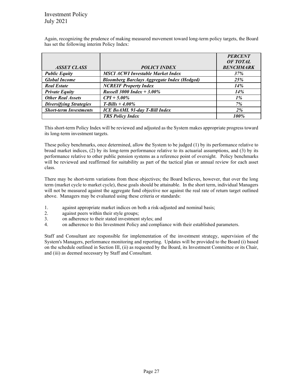|                                |                                                    | <b>PERCENT</b>   |
|--------------------------------|----------------------------------------------------|------------------|
|                                |                                                    | OF TOTAL         |
| <i><b>ASSET CLASS</b></i>      | <b>POLICY INDEX</b>                                | <b>BENCHMARK</b> |
| <b>Public Equity</b>           | <b>MSCI ACWI Investable Market Index</b>           | 37%              |
| <b>Global Income</b>           | <b>Bloomberg Barclays Aggregate Index (Hedged)</b> | 25%              |
| <b>Real Estate</b>             | <b>NCREIF Property Index</b>                       | 14%              |
| <b>Private Equity</b>          | <i>Russell</i> 3000 <i>Index</i> + 3.00%           | 14%              |
| <b>Other Real Assets</b>       | $CPI + 5.00\%$                                     | $1\%$            |
| <b>Diversifying Strategies</b> | <b>T-Bills</b> + 4.00%                             | 7%               |
| <b>Short-term Investments</b>  | <b>ICE BoAML 91-day T-Bill Index</b>               | $2\%$            |
|                                | <b>TRS Policy Index</b>                            | 100%             |

Again, recognizing the prudence of making measured movement toward long-term policy targets, the Board has set the following interim Policy Index:

This short-term Policy Index will be reviewed and adjusted as the System makes appropriate progress toward its long-term investment targets.

These policy benchmarks, once determined, allow the System to be judged (1) by its performance relative to broad market indices, (2) by its long-term performance relative to its actuarial assumptions, and (3) by its performance relative to other public pension systems as a reference point of oversight. Policy benchmarks will be reviewed and reaffirmed for suitability as part of the tactical plan or annual review for each asset class.

There may be short-term variations from these objectives; the Board believes, however, that over the long term (market cycle to market cycle), these goals should be attainable. In the short term, individual Managers will not be measured against the aggregate fund objective nor against the real rate of return target outlined above. Managers may be evaluated using these criteria or standards:

- 1. against appropriate market indices on both a risk-adjusted and nominal basis;
- 2. against peers within their style groups;
- 3. on adherence to their stated investment styles; and
- 4. on adherence to this Investment Policy and compliance with their established parameters.

Staff and Consultant are responsible for implementation of the investment strategy, supervision of the System's Managers, performance monitoring and reporting. Updates will be provided to the Board (i) based on the schedule outlined in Section III, (ii) as requested by the Board, its Investment Committee or its Chair, and (iii) as deemed necessary by Staff and Consultant.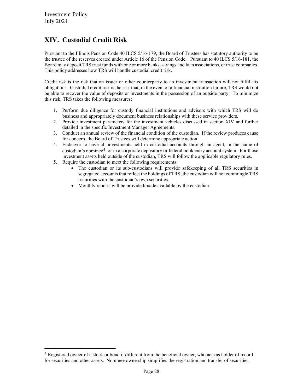## <span id="page-27-0"></span>**XIV. Custodial Credit Risk**

Pursuant to the Illinois Pension Code 40 ILCS 5/16-179, the Board of Trustees has statutory authority to be the trustee of the reserves created under Article 16 of the Pension Code. Pursuant to 40 ILCS 5/16-181, the Board may deposit TRS trust funds with one or more banks, savings and loan associations, or trust companies. This policy addresses how TRS will handle custodial credit risk.

Credit risk is the risk that an issuer or other counterparty to an investment transaction will not fulfill its obligations. Custodial credit risk is the risk that, in the event of a financial institution failure, TRS would not be able to recover the value of deposits or investments in the possession of an outside party. To minimize this risk, TRS takes the following measures:

- 1. Perform due diligence for custody financial institutions and advisors with which TRS will do business and appropriately document business relationships with these service providers.
- 2. Provide investment parameters for the investment vehicles discussed in section XIV and further detailed in the specific Investment Manager Agreements.
- 3. Conduct an annual review of the financial condition of the custodian. If the review produces cause for concern, the Board of Trustees will determine appropriate action.
- 4. Endeavor to have all investments held in custodial accounts through an agent, in the name of custodian's nominee<sup>[4](#page-27-1)</sup>, or in a corporate depository or federal book entry account system. For those investment assets held outside of the custodian, TRS will follow the applicable regulatory rules.
- 5. Require the custodian to meet the following requirements:
	- The custodian or its sub-custodians will provide safekeeping of all TRS securities in segregated accounts that reflect the holdings of TRS; the custodian will not commingle TRS securities with the custodian's own securities.
	- Monthly reports will be provided/made available by the custodian.

<span id="page-27-1"></span><sup>&</sup>lt;sup>4</sup> Registered owner of a stock or bond if different from the beneficial owner, who acts as holder of record for securities and other assets. Nominee ownership simplifies the registration and transfer of securities.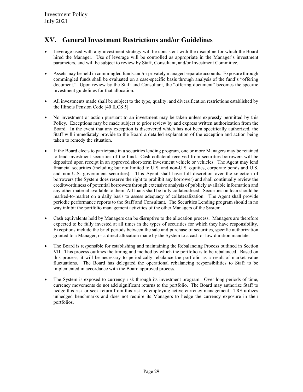## <span id="page-28-0"></span>**XV. General Investment Restrictions and/or Guidelines**

- Leverage used with any investment strategy will be consistent with the discipline for which the Board hired the Manager. Use of leverage will be controlled as appropriate in the Manager's investment parameters, and will be subject to review by Staff, Consultant, and/or Investment Committee.
- Assets may be held in commingled funds and/or privately managed separate accounts. Exposure through commingled funds shall be evaluated on a case-specific basis through analysis of the fund's "offering document." Upon review by the Staff and Consultant, the "offering document" becomes the specific investment guidelines for that allocation.
- All investments made shall be subject to the type, quality, and diversification restrictions established by the Illinois Pension Code [40 ILCS 5].
- No investment or action pursuant to an investment may be taken unless expressly permitted by this Policy. Exceptions may be made subject to prior review by and express written authorization from the Board. In the event that any exception is discovered which has not been specifically authorized, the Staff will immediately provide to the Board a detailed explanation of the exception and action being taken to remedy the situation.
- If the Board elects to participate in a securities lending program, one or more Managers may be retained to lend investment securities of the fund. Cash collateral received from securities borrowers will be deposited upon receipt in an approved short-term investment vehicle or vehicles. The Agent may lend financial securities (including but not limited to U.S. and non-U.S. equities, corporate bonds and U.S. and non-U.S. government securities). This Agent shall have full discretion over the selection of borrowers (the System does reserve the right to prohibit any borrower) and shall continually review the creditworthiness of potential borrowers through extensive analysis of publicly available information and any other material available to them. All loans shall be fully collateralized. Securities on loan should be marked-to-market on a daily basis to assess adequacy of collateralization. The Agent shall provide periodic performance reports to the Staff and Consultant. The Securities Lending program should in no way inhibit the portfolio management activities of the other Managers of the System.
- Cash equivalents held by Managers can be disruptive to the allocation process. Managers are therefore expected to be fully invested at all times in the types of securities for which they have responsibility. Exceptions include the brief periods between the sale and purchase of securities, specific authorization granted to a Manager, or a direct allocation made by the System to a cash or low duration mandate.
- The Board is responsible for establishing and maintaining the Rebalancing Process outlined in Section VII. This process outlines the timing and method by which the portfolio is to be rebalanced. Based on this process, it will be necessary to periodically rebalance the portfolio as a result of market value fluctuations. The Board has delegated the operational rebalancing responsibilities to Staff to be implemented in accordance with the Board approved process.
- The System is exposed to currency risk through its investment program. Over long periods of time, currency movements do not add significant returns to the portfolio. The Board may authorize Staff to hedge this risk or seek return from this risk by employing active currency management. TRS utilizes unhedged benchmarks and does not require its Managers to hedge the currency exposure in their portfolios.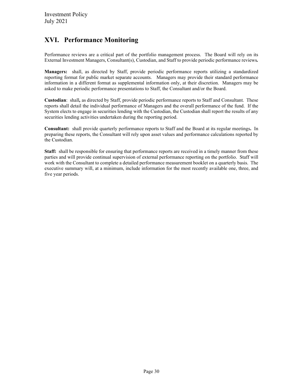## <span id="page-29-0"></span>**XVI. Performance Monitoring**

Performance reviews are a critical part of the portfolio management process. The Board will rely on its External Investment Managers, Consultant(s), Custodian, and Staff to provide periodic performance reviews*.*

**Managers:** shall, as directed by Staff, provide periodic performance reports utilizing a standardized reporting format for public market separate accounts. Managers may provide their standard performance information in a different format as supplemental information only, at their discretion. Managers may be asked to make periodic performance presentations to Staff, the Consultant and/or the Board.

**Custodian**: shall*,* as directed by Staff, provide periodic performance reports to Staff and Consultant. These reports shall detail the individual performance of Managers and the overall performance of the fund. If the System elects to engage in securities lending with the Custodian, the Custodian shall report the results of any securities lending activities undertaken during the reporting period.

**Consultant:** shall provide quarterly performance reports to Staff and the Board at its regular meetings**.** In preparing these reports, the Consultant will rely upon asset values and performance calculations reported by the Custodian.

**Staff:**shall be responsible for ensuring that performance reports are received in a timely manner from these parties and will provide continual supervision of external performance reporting on the portfolio. Staff will work with the Consultant to complete a detailed performance measurement booklet on a quarterly basis. The executive summary will, at a minimum, include information for the most recently available one, three, and five year periods.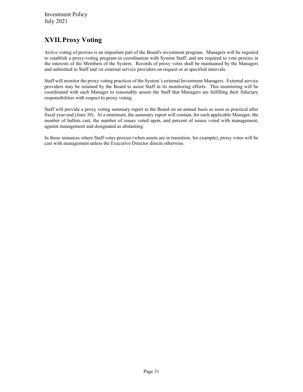## <span id="page-30-0"></span>**XVII.Proxy Voting**

Active voting of proxies is an important part of the Board's investment program. Managers will be required to establish a proxy-voting program in coordination with System Staff, and are required to vote proxies in the interests of the Members of the System. Records of proxy votes shall be maintained by the Managers and submitted to Staff and /or external service providers on request or at specified intervals.

Staff will monitor the proxy voting practices of the System's external Investment Managers. External service providers may be retained by the Board to assist Staff in its monitoring efforts. This monitoring will be coordinated with each Manager to reasonably assure the Staff that Managers are fulfilling their fiduciary responsibilities with respect to proxy voting.

Staff will provide a proxy voting summary report to the Board on an annual basis as soon as practical after fiscal year-end (June 30). At a minimum, the summary report will contain, for each applicable Manager, the number of ballots cast, the number of issues voted upon, and percent of issues voted with management, against management and designated as abstaining.

In those instances where Staff votes proxies (when assets are in transition, for example), proxy votes will be cast with management unless the Executive Director directs otherwise.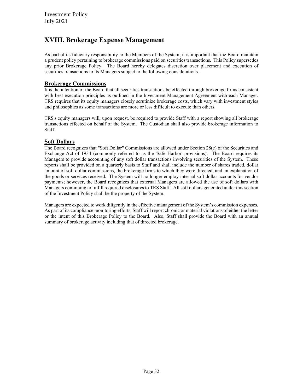## <span id="page-31-0"></span>**XVIII. Brokerage Expense Management**

As part of its fiduciary responsibility to the Members of the System, it is important that the Board maintain a prudent policy pertaining to brokerage commissions paid on securities transactions. This Policy supersedes any prior Brokerage Policy. The Board hereby delegates discretion over placement and execution of securities transactions to its Managers subject to the following considerations.

#### **Brokerage Commissions**

It is the intention of the Board that all securities transactions be effected through brokerage firms consistent with best execution principles as outlined in the Investment Management Agreement with each Manager. TRS requires that its equity managers closely scrutinize brokerage costs, which vary with investment styles and philosophies as some transactions are more or less difficult to execute than others.

TRS's equity managers will*,* upon request*,* be required to provide Staff with a report showing all brokerage transactions effected on behalf of the System. The Custodian shall also provide brokerage information to Staff.

#### **Soft Dollars**

The Board recognizes that "Soft Dollar" Commissions are allowed under Section 28(e) of the Securities and Exchange Act of 1934 (commonly referred to as the 'Safe Harbor' provisions). The Board requires its Managers to provide accounting of any soft dollar transactions involving securities of the System. These reports shall be provided on a quarterly basis to Staff and shall include the number of shares traded, dollar amount of soft dollar commissions, the brokerage firms to which they were directed, and an explanation of the goods or services received. The System will no longer employ internal soft dollar accounts for vendor payments; however, the Board recognizes that external Managers are allowed the use of soft dollars with Managers continuing to fulfill required disclosures to TRS Staff. All soft dollars generated under this section of the Investment Policy shall be the property of the System.

Managers are expected to work diligently in the effective management of the System's commission expenses. As part of its compliance monitoring efforts, Staff will report chronic or material violations of either the letter or the intent of this Brokerage Policy to the Board. Also, Staff shall provide the Board with an annual summary of brokerage activity including that of directed brokerage.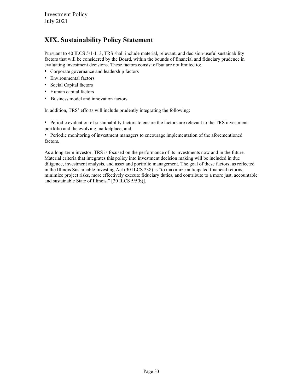## <span id="page-32-0"></span>**XIX. Sustainability Policy Statement**

Pursuant to 40 ILCS 5/1-113, TRS shall include material, relevant, and decision-useful sustainability factors that will be considered by the Board, within the bounds of financial and fiduciary prudence in evaluating investment decisions. These factors consist of but are not limited to:

- Corporate governance and leadership factors
- Environmental factors
- Social Capital factors
- Human capital factors
- Business model and innovation factors

In addition, TRS' efforts will include prudently integrating the following:

• Periodic evaluation of sustainability factors to ensure the factors are relevant to the TRS investment portfolio and the evolving marketplace; and

• Periodic monitoring of investment managers to encourage implementation of the aforementioned factors.

As a long-term investor, TRS is focused on the performance of its investments now and in the future. Material criteria that integrates this policy into investment decision making will be included in due diligence, investment analysis, and asset and portfolio management. The goal of these factors, as reflected in the Illinois Sustainable Investing Act (30 ILCS 238) is "to maximize anticipated financial returns, minimize project risks, more effectively execute fiduciary duties, and contribute to a more just, accountable and sustainable State of Illinois." [30 ILCS 5/5(b)].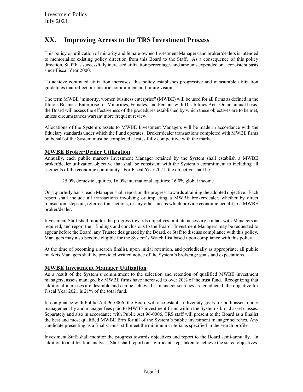## <span id="page-33-0"></span>**XX. Improving Access to the TRS Investment Process**

This policy on utilization of minority and female-owned Investment Managers and broker/dealers is intended to memorialize existing policy direction from this Board to the Staff. As a consequence of this policy direction, Staff has successfully increased utilization percentages and amounts expended on a consistent basis since Fiscal Year 2000.

To achieve continued utilization increases, this policy establishes progressive and measurable utilization guidelines that reflect our historic commitment and future vision.

The term MWBE 'minority, women business enterprise" (MWBE) will be used for all firms as defined in the Illinois Business Enterprise for Minorities, Females, and Persons with Disabilities Act. On an annual basis, the Board will assess the effectiveness of the procedures established by which these objectives are to be met, unless circumstances warrant more frequent review.

Allocations of the System's assets to MWBE Investment Managers will be made in accordance with the fiduciary standards under which the Fund operates. Broker/dealer transactions completed with MWBE firms on behalf of the System must be completed at rates fully competitive with the market.

#### **MWBE Broker/Dealer Utilization**

Annually, each public markets Investment Manager retained by the System shall establish a MWBE broker/dealer utilization objective that shall be consistent with the System's commitment to including all segments of the economic community. For Fiscal Year 2021, the objective shall be:

25.0% domestic equities, 16.0% international equities; 16.0% global income

On a quarterly basis, each Manager shall report on the progress towards attaining the adopted objective. Each report shall include all transactions involving or impacting a MWBE broker/dealer, whether by direct transaction, step-out, referred transactions, or any other means which provide economic benefit to a MWBE broker/dealer.

Investment Staff shall monitor the progress towards objectives, initiate necessary contact with Managers as required, and report their findings and conclusions to the Board. Investment Managers may be requested to appear before the Board, any Trustee designated by the Board, or Staff to discuss compliance with this policy. Managers may also become eligible for the System's Watch List based upon compliance with this policy.

At the time of becoming a search finalist, upon initial retention, and periodically as appropriate, all public markets Managers shall be provided written notice of the System's brokerage goals and expectations.

#### **MWBE Investment Manager Utilization**

As a result of the System's commitment to the selection and retention of qualified MWBE investment managers, assets managed by MWBE firms have increased to over 20% of the trust fund. Recognizing that additional increases are desirable and can be achieved as manager searches are conducted, the objective for Fiscal Year 2021 is 21% of the total fund.

In compliance with Public Act 96-0006, the Board will also establish diversity goals for both assets under management by and manager fees paid to MWBE investment firms within the System's broad asset classes. Separately and also in accordance with Public Act 96-0006, TRS staff will present to the Board as a finalist the best and most qualified MWBE firm for all of the System's public investment manager searches. Any candidate presenting as a finalist must still meet the minimum criteria as specified in the search profile.

Investment Staff shall monitor the progress towards objectives and report to the Board semi-annually. In addition to a utilization analysis, Staff shall report on significant steps taken to achieve the stated objectives.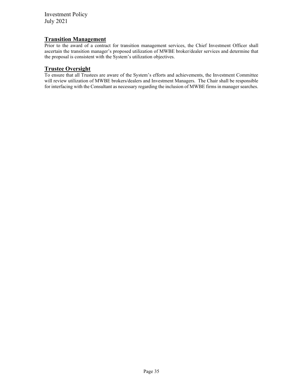#### **Transition Management**

Prior to the award of a contract for transition management services, the Chief Investment Officer shall ascertain the transition manager's proposed utilization of MWBE broker/dealer services and determine that the proposal is consistent with the System's utilization objectives.

#### **Trustee Oversight**

To ensure that all Trustees are aware of the System's efforts and achievements, the Investment Committee will review utilization of MWBE brokers/dealers and Investment Managers. The Chair shall be responsible for interfacing with the Consultant as necessary regarding the inclusion of MWBE firms in manager searches.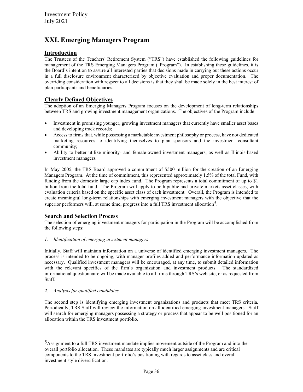## <span id="page-35-0"></span>**XXI. Emerging Managers Program**

#### **Introduction**

The Trustees of the Teachers' Retirement System ("TRS") have established the following guidelines for management of the TRS Emerging Managers Program ("Program"). In establishing these guidelines, it is the Board's intention to assure all interested parties that decisions made in carrying out these actions occur in a full disclosure environment characterized by objective evaluation and proper documentation. The overriding consideration with respect to all decisions is that they shall be made solely in the best interest of plan participants and beneficiaries.

#### **Clearly Defined Objectives**

The adoption of an Emerging Managers Program focuses on the development of long-term relationships between TRS and growing investment management organizations. The objectives of the Program include:

- Investment in promising younger, growing investment managers that currently have smaller asset bases and developing track records;
- Access to firms that, while possessing a marketable investment philosophy or process, have not dedicated marketing resources to identifying themselves to plan sponsors and the investment consultant community;
- Ability to better utilize minority- and female-owned investment managers, as well as Illinois-based investment managers.

In May 2005, the TRS Board approved a commitment of \$500 million for the creation of an Emerging Managers Program. At the time of commitment, this represented approximately 1.5% of the total Fund, with funding from the domestic large cap index fund. The Program represents a total commitment of up to \$1 billion from the total fund. The Program will apply to both public and private markets asset classes, with evaluation criteria based on the specific asset class of each investment. Overall, the Program is intended to create meaningful long-term relationships with emerging investment managers with the objective that the superior performers will, at some time, progress into a full TRS investment allocation<sup>[5](#page-35-1)</sup>.

#### **Search and Selection Process**

The selection of emerging investment managers for participation in the Program will be accomplished from the following steps:

#### *1. Identification of emerging investment managers*

Initially, Staff will maintain information on a universe of identified emerging investment managers. The process is intended to be ongoing, with manager profiles added and performance information updated as necessary. Qualified investment managers will be encouraged, at any time, to submit detailed information with the relevant specifics of the firm's organization and investment products. The standardized informational questionnaire will be made available to all firms through TRS's web site, or as requested from Staff.

#### *2. Analysis for qualified candidates*

The second step is identifying emerging investment organizations and products that meet TRS criteria. Periodically, TRS Staff will review the information on all identified emerging investment managers. Staff will search for emerging managers possessing a strategy or process that appear to be well positioned for an allocation within the TRS investment portfolio.

<span id="page-35-1"></span><sup>5</sup>Assignment to a full TRS investment mandate implies movement outside of the Program and into the overall portfolio allocation. These mandates are typically much larger assignments and are critical components to the TRS investment portfolio's positioning with regards to asset class and overall investment style diversification.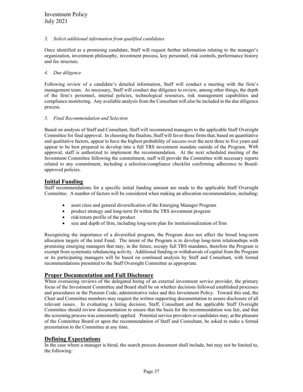#### *3. Solicit additional information from qualified candidates*

Once identified as a promising candidate, Staff will request further information relating to the manager's organization, investment philosophy, investment process, key personnel, risk controls, performance history and fee structure.

#### *4. Due diligence*

Following review of a candidate's detailed information, Staff will conduct a meeting with the firm's management team. As necessary, Staff will conduct due diligence to review, among other things, the depth of the firm's personnel, internal policies, technological resources, risk management capabilities and compliance monitoring. Any available analysis from the Consultant will also be included in the due diligence process.

#### *5. Final Recommendation and Selection*

Based on analysis of Staff and Consultant, Staff will recommend managers to the applicable Staff Oversight Committee for final approval. In choosing the finalists, Staff will favor those firms that, based on quantitative and qualitative factors, appear to have the highest probability of success over the next three to five years and appear to be best prepared to develop into a full TRS investment mandate outside of the Program. With approval, staff is authorized to implement the recommendation. At the next scheduled meeting of the Investment Committee following the commitment, staff will provide the Committee with necessary reports related to any commitment, including a selection/compliance checklist confirming adherence to Boardapproved policies.

#### **Initial Funding**

Staff recommendations for a specific initial funding amount are made to the applicable Staff Oversight Committee. A number of factors will be considered when making an allocation recommendation, including:

- asset class and general diversification of the Emerging Manager Program
- product strategy and long-term fit within the TRS investment program
- risk/return profile of the product
- size and depth of firm, including long-term plan for institutionalization of firm

Recognizing the importance of a diversified program, the Program does not affect the broad long-term allocation targets of the total Fund. The intent of the Program is to develop long-term relationships with promising emerging managers that may, in the future, occupy full TRS mandates, therefore the Program is exempt from systematic rebalancing activity. Additional funding or withdrawals of capital from the Program or its participating managers will be based on continued analysis by Staff and Consultant, with formal recommendations presented to the Staff Oversight Committee as appropriate.

#### **Proper Documentation and Full Disclosure**

When overseeing reviews of the delegated hiring of an external investment service provider, the primary focus of the Investment Committee and Board shall be on whether decisions followed established processes and procedures in the Pension Code, administrative rules and this Investment Policy. Toward this end, the Chair and Committee members may request the written supporting documentation to assure disclosure of all relevant issues. In evaluating a hiring decision, Staff, Consultant and the applicable Staff Oversight Committee should review documentation to ensure that the basis for the recommendation was fair, and that the screening process was consistently applied. Potential service providers or candidates may, at the pleasure of the Committee Board or upon the recommendation of Staff and Consultant, be asked to make a formal presentation to the Committee at any time.

#### **Defining Expectations**

In the case where a manager is hired, the search process document shall include, but may not be limited to, the following: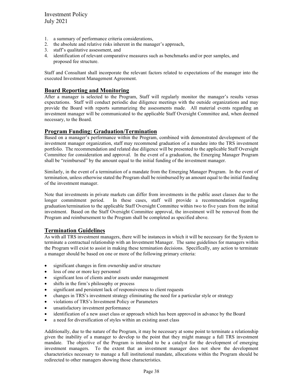- 1. a summary of performance criteria considerations,
- 2. the absolute and relative risks inherent in the manager's approach,
- 3. staff's qualitative assessment, and
- 4. identification of relevant comparative measures such as benchmarks and/or peer samples, and proposed fee structure.

Staff and Consultant shall incorporate the relevant factors related to expectations of the manager into the executed Investment Management Agreement.

#### **Board Reporting and Monitoring**

After a manager is selected to the Program, Staff will regularly monitor the manager's results versus expectations. Staff will conduct periodic due diligence meetings with the outside organizations and may provide the Board with reports summarizing the assessments made. All material events regarding an investment manager will be communicated to the applicable Staff Oversight Committee and, when deemed necessary, to the Board.

#### **Program Funding: Graduation/Termination**

Based on a manager's performance within the Program, combined with demonstrated development of the investment manager organization, staff may recommend graduation of a mandate into the TRS investment portfolio. The recommendation and related due diligence will be presented to the applicable Staff Oversight Committee for consideration and approval. In the event of a graduation, the Emerging Manager Program shall be "reimbursed" by the amount equal to the initial funding of the investment manager.

Similarly, in the event of a termination of a mandate from the Emerging Manager Program. In the event of termination, unless otherwise stated the Program shall be reimbursed by an amount equal to the initial funding of the investment manager.

Note that investments in private markets can differ from investments in the public asset classes due to the longer commitment period. In these cases, staff will provide a recommendation regarding graduation/termination to the applicable Staff Oversight Committee within two to five years from the initial investment. Based on the Staff Oversight Committee approval, the investment will be removed from the Program and reimbursement to the Program shall be completed as specified above.

#### **Termination Guidelines**

As with all TRS investment managers, there will be instances in which it will be necessary for the System to terminate a contractual relationship with an Investment Manager. The same guidelines for managers within the Program will exist to assist in making these termination decisions. Specifically, any action to terminate a manager should be based on one or more of the following primary criteria:

- significant changes in firm ownership and/or structure
- loss of one or more key personnel
- significant loss of clients and/or assets under management
- shifts in the firm's philosophy or process
- significant and persistent lack of responsiveness to client requests
- changes in TRS's investment strategy eliminating the need for a particular style or strategy
- violations of TRS's Investment Policy or Parameters
- unsatisfactory investment performance
- identification of a new asset class or approach which has been approved in advance by the Board
- a need for diversification of styles within an existing asset class

Additionally, due to the nature of the Program, it may be necessary at some point to terminate a relationship given the inability of a manager to develop to the point that they might manage a full TRS investment mandate. The objective of the Program is intended to be a catalyst for the development of emerging investment managers. To the extent that an investment manager does not show the development characteristics necessary to manage a full institutional mandate, allocations within the Program should be redirected to other managers showing those characteristics.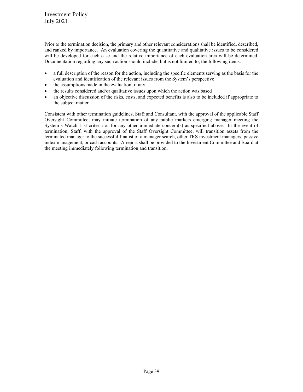Prior to the termination decision, the primary and other relevant considerations shall be identified, described, and ranked by importance. An evaluation covering the quantitative and qualitative issues to be considered will be developed for each case and the relative importance of each evaluation area will be determined. Documentation regarding any such action should include, but is not limited to, the following items:

- a full description of the reason for the action, including the specific elements serving as the basis for the evaluation and identification of the relevant issues from the System's perspective
- the assumptions made in the evaluation, if any
- the results considered and/or qualitative issues upon which the action was based
- an objective discussion of the risks, costs, and expected benefits is also to be included if appropriate to the subject matter

Consistent with other termination guidelines, Staff and Consultant, with the approval of the applicable Staff Oversight Committee, may initiate termination of any public markets emerging manager meeting the System's Watch List criteria or for any other immediate concern(s) as specified above. In the event of termination, Staff, with the approval of the Staff Oversight Committee, will transition assets from the terminated manager to the successful finalist of a manager search, other TRS investment managers, passive index management, or cash accounts. A report shall be provided to the Investment Committee and Board at the meeting immediately following termination and transition.